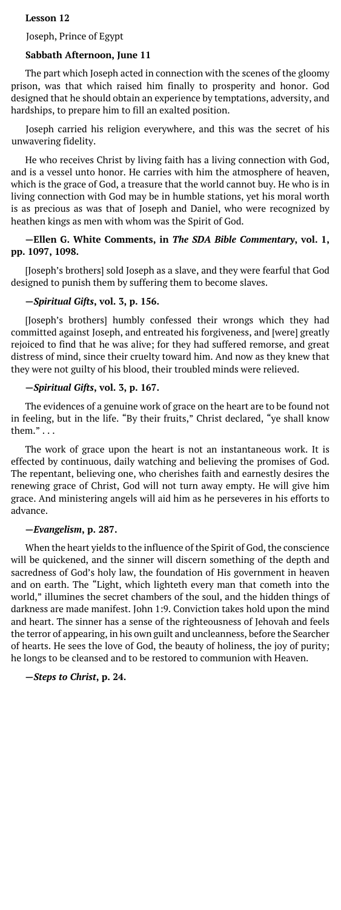## **Lesson 12**

Joseph, Prince of Egypt

# **Sabbath Afternoon, June 11**

The part which Joseph acted in connection with the scenes of the gloomy prison, was that which raised him finally to prosperity and honor. God designed that he should obtain an experience by temptations, adversity, and hardships, to prepare him to fill an exalted position.

Joseph carried his religion everywhere, and this was the secret of his unwavering fidelity.

He who receives Christ by living faith has a living connection with God, and is a vessel unto honor. He carries with him the atmosphere of heaven, which is the grace of God, a treasure that the world cannot buy. He who is in living connection with God may be in humble stations, yet his moral worth is as precious as was that of Joseph and Daniel, who were recognized by heathen kings as men with whom was the Spirit of God.

# **—Ellen G. White Comments, in** *The SDA Bible Commentary***, vol. 1, pp. 1097, 1098.**

[Joseph's brothers] sold Joseph as a slave, and they were fearful that God designed to punish them by suffering them to become slaves.

# **—***Spiritual Gifts***, vol. 3, p. 156.**

[Joseph's brothers] humbly confessed their wrongs which they had committed against Joseph, and entreated his forgiveness, and [were] greatly rejoiced to find that he was alive; for they had suffered remorse, and great distress of mind, since their cruelty toward him. And now as they knew that they were not guilty of his blood, their troubled minds were relieved.

# **—***Spiritual Gifts***, vol. 3, p. 167.**

The evidences of a genuine work of grace on the heart are to be found not in feeling, but in the life. "By their fruits," Christ declared, "ye shall know them." . . .

The work of grace upon the heart is not an instantaneous work. It is effected by continuous, daily watching and believing the promises of God. The repentant, believing one, who cherishes faith and earnestly desires the renewing grace of Christ, God will not turn away empty. He will give him grace. And ministering angels will aid him as he perseveres in his efforts to advance.

# **—***Evangelism***, p. 287.**

When the heart yields to the influence of the Spirit of God, the conscience will be quickened, and the sinner will discern something of the depth and sacredness of God's holy law, the foundation of His government in heaven and on earth. The "Light, which lighteth every man that cometh into the world," illumines the secret chambers of the soul, and the hidden things of darkness are made manifest. John 1:9. Conviction takes hold upon the mind and heart. The sinner has a sense of the righteousness of Jehovah and feels the terror of appearing, in his own guilt and uncleanness, before the Searcher of hearts. He sees the love of God, the beauty of holiness, the joy of purity; he longs to be cleansed and to be restored to communion with Heaven.

**—***Steps to Christ***, p. 24.**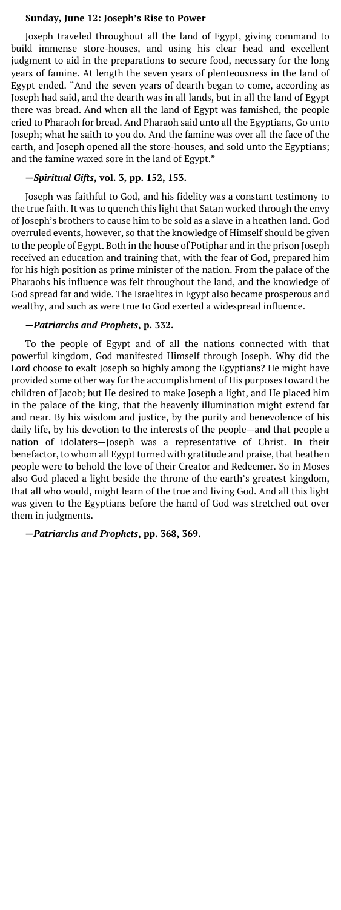#### **Sunday, June 12: Joseph's Rise to Power**

Joseph traveled throughout all the land of Egypt, giving command to build immense store-houses, and using his clear head and excellent judgment to aid in the preparations to secure food, necessary for the long years of famine. At length the seven years of plenteousness in the land of Egypt ended. "And the seven years of dearth began to come, according as Joseph had said, and the dearth was in all lands, but in all the land of Egypt there was bread. And when all the land of Egypt was famished, the people cried to Pharaoh for bread. And Pharaoh said unto all the Egyptians, Go unto Joseph; what he saith to you do. And the famine was over all the face of the earth, and Joseph opened all the store-houses, and sold unto the Egyptians; and the famine waxed sore in the land of Egypt."

## **—***Spiritual Gifts***, vol. 3, pp. 152, 153.**

Joseph was faithful to God, and his fidelity was a constant testimony to the true faith. It was to quench this light that Satan worked through the envy of Joseph's brothers to cause him to be sold as a slave in a heathen land. God overruled events, however, so that the knowledge of Himself should be given to the people of Egypt. Both in the house of Potiphar and in the prison Joseph received an education and training that, with the fear of God, prepared him for his high position as prime minister of the nation. From the palace of the Pharaohs his influence was felt throughout the land, and the knowledge of God spread far and wide. The Israelites in Egypt also became prosperous and wealthy, and such as were true to God exerted a widespread influence.

#### **—***Patriarchs and Prophets***, p. 332.**

To the people of Egypt and of all the nations connected with that powerful kingdom, God manifested Himself through Joseph. Why did the Lord choose to exalt Joseph so highly among the Egyptians? He might have provided some other way for the accomplishment of His purposes toward the children of Jacob; but He desired to make Joseph a light, and He placed him in the palace of the king, that the heavenly illumination might extend far and near. By his wisdom and justice, by the purity and benevolence of his daily life, by his devotion to the interests of the people—and that people a nation of idolaters—Joseph was a representative of Christ. In their benefactor, to whom all Egypt turned with gratitude and praise, that heathen people were to behold the love of their Creator and Redeemer. So in Moses also God placed a light beside the throne of the earth's greatest kingdom, that all who would, might learn of the true and living God. And all this light was given to the Egyptians before the hand of God was stretched out over them in judgments.

**—***Patriarchs and Prophets***, pp. 368, 369.**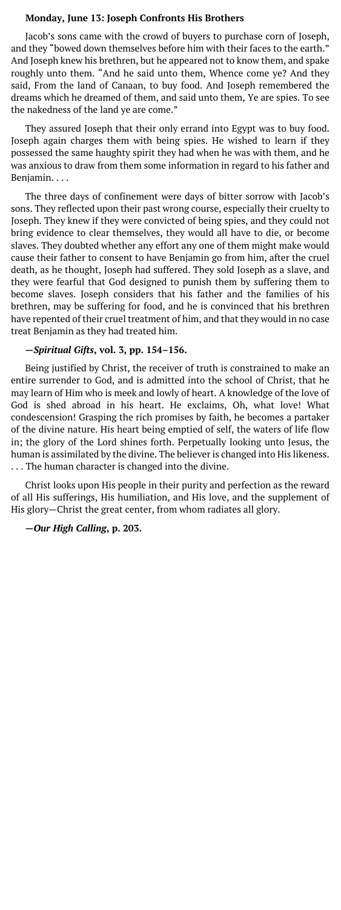#### **Monday, June 13: Joseph Confronts His Brothers**

Jacob's sons came with the crowd of buyers to purchase corn of Joseph, and they "bowed down themselves before him with their faces to the earth." And Joseph knew his brethren, but he appeared not to know them, and spake roughly unto them. "And he said unto them, Whence come ye? And they said, From the land of Canaan, to buy food. And Joseph remembered the dreams which he dreamed of them, and said unto them, Ye are spies. To see the nakedness of the land ye are come."

They assured Joseph that their only errand into Egypt was to buy food. Joseph again charges them with being spies. He wished to learn if they possessed the same haughty spirit they had when he was with them, and he was anxious to draw from them some information in regard to his father and Benjamin. . . .

The three days of confinement were days of bitter sorrow with Jacob's sons. They reflected upon their past wrong course, especially their cruelty to Joseph. They knew if they were convicted of being spies, and they could not bring evidence to clear themselves, they would all have to die, or become slaves. They doubted whether any effort any one of them might make would cause their father to consent to have Benjamin go from him, after the cruel death, as he thought, Joseph had suffered. They sold Joseph as a slave, and they were fearful that God designed to punish them by suffering them to become slaves. Joseph considers that his father and the families of his brethren, may be suffering for food, and he is convinced that his brethren have repented of their cruel treatment of him, and that they would in no case treat Benjamin as they had treated him.

#### **—***Spiritual Gifts***, vol. 3, pp. 154–156.**

Being justified by Christ, the receiver of truth is constrained to make an entire surrender to God, and is admitted into the school of Christ, that he may learn of Him who is meek and lowly of heart. A knowledge of the love of God is shed abroad in his heart. He exclaims, Oh, what love! What condescension! Grasping the rich promises by faith, he becomes a partaker of the divine nature. His heart being emptied of self, the waters of life flow in; the glory of the Lord shines forth. Perpetually looking unto Jesus, the human is assimilated by the divine. The believer is changed into His likeness. . . . The human character is changed into the divine.

Christ looks upon His people in their purity and perfection as the reward of all His sufferings, His humiliation, and His love, and the supplement of His glory—Christ the great center, from whom radiates all glory.

#### **—***Our High Calling***, p. 203.**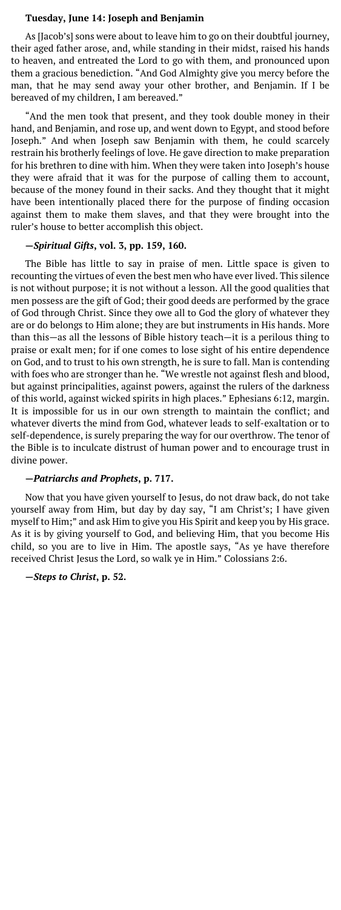#### **Tuesday, June 14: Joseph and Benjamin**

As [Jacob's] sons were about to leave him to go on their doubtful journey, their aged father arose, and, while standing in their midst, raised his hands to heaven, and entreated the Lord to go with them, and pronounced upon them a gracious benediction. "And God Almighty give you mercy before the man, that he may send away your other brother, and Benjamin. If I be bereaved of my children, I am bereaved."

"And the men took that present, and they took double money in their hand, and Benjamin, and rose up, and went down to Egypt, and stood before Joseph." And when Joseph saw Benjamin with them, he could scarcely restrain his brotherly feelings of love. He gave direction to make preparation for his brethren to dine with him. When they were taken into Joseph's house they were afraid that it was for the purpose of calling them to account, because of the money found in their sacks. And they thought that it might have been intentionally placed there for the purpose of finding occasion against them to make them slaves, and that they were brought into the ruler's house to better accomplish this object.

#### **—***Spiritual Gifts***, vol. 3, pp. 159, 160.**

The Bible has little to say in praise of men. Little space is given to recounting the virtues of even the best men who have ever lived. This silence is not without purpose; it is not without a lesson. All the good qualities that men possess are the gift of God; their good deeds are performed by the grace of God through Christ. Since they owe all to God the glory of whatever they are or do belongs to Him alone; they are but instruments in His hands. More than this—as all the lessons of Bible history teach—it is a perilous thing to praise or exalt men; for if one comes to lose sight of his entire dependence on God, and to trust to his own strength, he is sure to fall. Man is contending with foes who are stronger than he. "We wrestle not against flesh and blood, but against principalities, against powers, against the rulers of the darkness of this world, against wicked spirits in high places." Ephesians 6:12, margin. It is impossible for us in our own strength to maintain the conflict; and whatever diverts the mind from God, whatever leads to self-exaltation or to self-dependence, is surely preparing the way for our overthrow. The tenor of the Bible is to inculcate distrust of human power and to encourage trust in divine power.

#### **—***Patriarchs and Prophets***, p. 717.**

Now that you have given yourself to Jesus, do not draw back, do not take yourself away from Him, but day by day say, "I am Christ's; I have given myself to Him;" and ask Him to give you His Spirit and keep you by His grace. As it is by giving yourself to God, and believing Him, that you become His child, so you are to live in Him. The apostle says, "As ye have therefore received Christ Jesus the Lord, so walk ye in Him." Colossians 2:6.

**—***Steps to Christ***, p. 52.**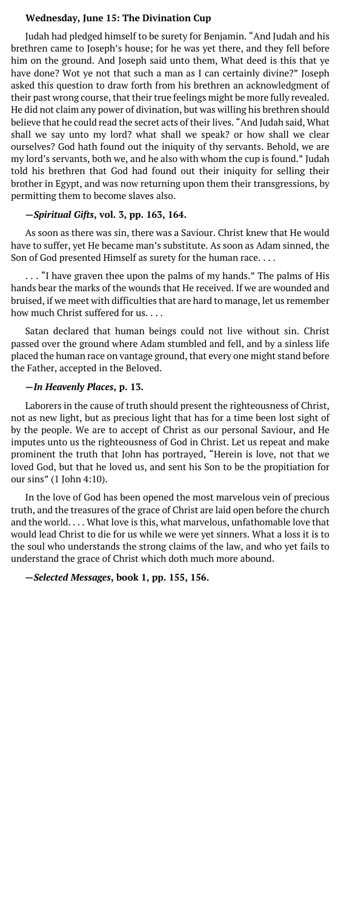#### **Wednesday, June 15: The Divination Cup**

Judah had pledged himself to be surety for Benjamin. "And Judah and his brethren came to Joseph's house; for he was yet there, and they fell before him on the ground. And Joseph said unto them, What deed is this that ye have done? Wot ye not that such a man as I can certainly divine?" Joseph asked this question to draw forth from his brethren an acknowledgment of their past wrong course, that their true feelings might be more fully revealed. He did not claim any power of divination, but was willing his brethren should believe that he could read the secret acts of their lives. "And Judah said, What shall we say unto my lord? what shall we speak? or how shall we clear ourselves? God hath found out the iniquity of thy servants. Behold, we are my lord's servants, both we, and he also with whom the cup is found." Judah told his brethren that God had found out their iniquity for selling their brother in Egypt, and was now returning upon them their transgressions, by permitting them to become slaves also.

## **—***Spiritual Gifts***, vol. 3, pp. 163, 164.**

As soon as there was sin, there was a Saviour. Christ knew that He would have to suffer, yet He became man's substitute. As soon as Adam sinned, the Son of God presented Himself as surety for the human race. . . .

. . . "I have graven thee upon the palms of my hands." The palms of His hands bear the marks of the wounds that He received. If we are wounded and bruised, if we meet with difficulties that are hard to manage, let us remember how much Christ suffered for us. . . .

Satan declared that human beings could not live without sin. Christ passed over the ground where Adam stumbled and fell, and by a sinless life placed the human race on vantage ground, that every one might stand before the Father, accepted in the Beloved.

## **—***In Heavenly Places***, p. 13.**

Laborers in the cause of truth should present the righteousness of Christ, not as new light, but as precious light that has for a time been lost sight of by the people. We are to accept of Christ as our personal Saviour, and He imputes unto us the righteousness of God in Christ. Let us repeat and make prominent the truth that John has portrayed, "Herein is love, not that we loved God, but that he loved us, and sent his Son to be the propitiation for our sins" (1 John 4:10).

In the love of God has been opened the most marvelous vein of precious truth, and the treasures of the grace of Christ are laid open before the church and the world. . . . What love is this, what marvelous, unfathomable love that would lead Christ to die for us while we were yet sinners. What a loss it is to the soul who understands the strong claims of the law, and who yet fails to understand the grace of Christ which doth much more abound.

#### **—***Selected Messages***, book 1, pp. 155, 156.**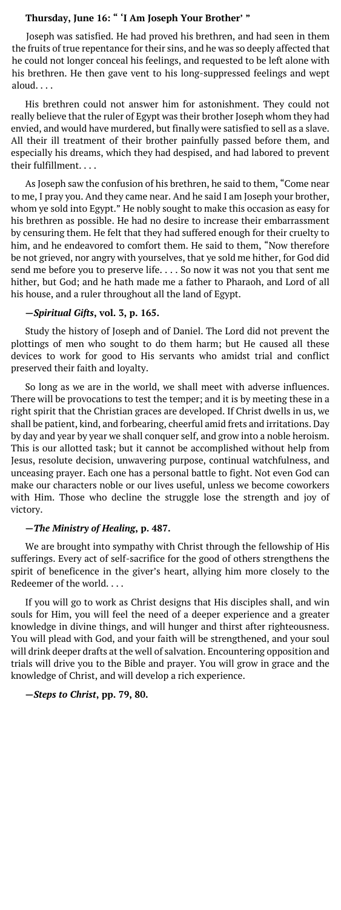## **Thursday, June 16: " 'I Am Joseph Your Brother' "**

Joseph was satisfied. He had proved his brethren, and had seen in them the fruits of true repentance for their sins, and he was so deeply affected that he could not longer conceal his feelings, and requested to be left alone with his brethren. He then gave vent to his long-suppressed feelings and wept aloud. . . .

His brethren could not answer him for astonishment. They could not really believe that the ruler of Egypt was their brother Joseph whom they had envied, and would have murdered, but finally were satisfied to sell as a slave. All their ill treatment of their brother painfully passed before them, and especially his dreams, which they had despised, and had labored to prevent their fulfillment. . . .

As Joseph saw the confusion of his brethren, he said to them, "Come near to me, I pray you. And they came near. And he said I am Joseph your brother, whom ye sold into Egypt." He nobly sought to make this occasion as easy for his brethren as possible. He had no desire to increase their embarrassment by censuring them. He felt that they had suffered enough for their cruelty to him, and he endeavored to comfort them. He said to them, "Now therefore be not grieved, nor angry with yourselves, that ye sold me hither, for God did send me before you to preserve life. . . . So now it was not you that sent me hither, but God; and he hath made me a father to Pharaoh, and Lord of all his house, and a ruler throughout all the land of Egypt.

#### **—***Spiritual Gifts***, vol. 3, p. 165.**

Study the history of Joseph and of Daniel. The Lord did not prevent the plottings of men who sought to do them harm; but He caused all these devices to work for good to His servants who amidst trial and conflict preserved their faith and loyalty.

So long as we are in the world, we shall meet with adverse influences. There will be provocations to test the temper; and it is by meeting these in a right spirit that the Christian graces are developed. If Christ dwells in us, we shall be patient, kind, and forbearing, cheerful amid frets and irritations. Day by day and year by year we shall conquer self, and grow into a noble heroism. This is our allotted task; but it cannot be accomplished without help from Jesus, resolute decision, unwavering purpose, continual watchfulness, and unceasing prayer. Each one has a personal battle to fight. Not even God can make our characters noble or our lives useful, unless we become coworkers with Him. Those who decline the struggle lose the strength and joy of victory.

#### **—***The Ministry of Healing***, p. 487.**

We are brought into sympathy with Christ through the fellowship of His sufferings. Every act of self-sacrifice for the good of others strengthens the spirit of beneficence in the giver's heart, allying him more closely to the Redeemer of the world. . . .

If you will go to work as Christ designs that His disciples shall, and win souls for Him, you will feel the need of a deeper experience and a greater knowledge in divine things, and will hunger and thirst after righteousness. You will plead with God, and your faith will be strengthened, and your soul will drink deeper drafts at the well of salvation. Encountering opposition and trials will drive you to the Bible and prayer. You will grow in grace and the knowledge of Christ, and will develop a rich experience.

#### **—***Steps to Christ***, pp. 79, 80.**